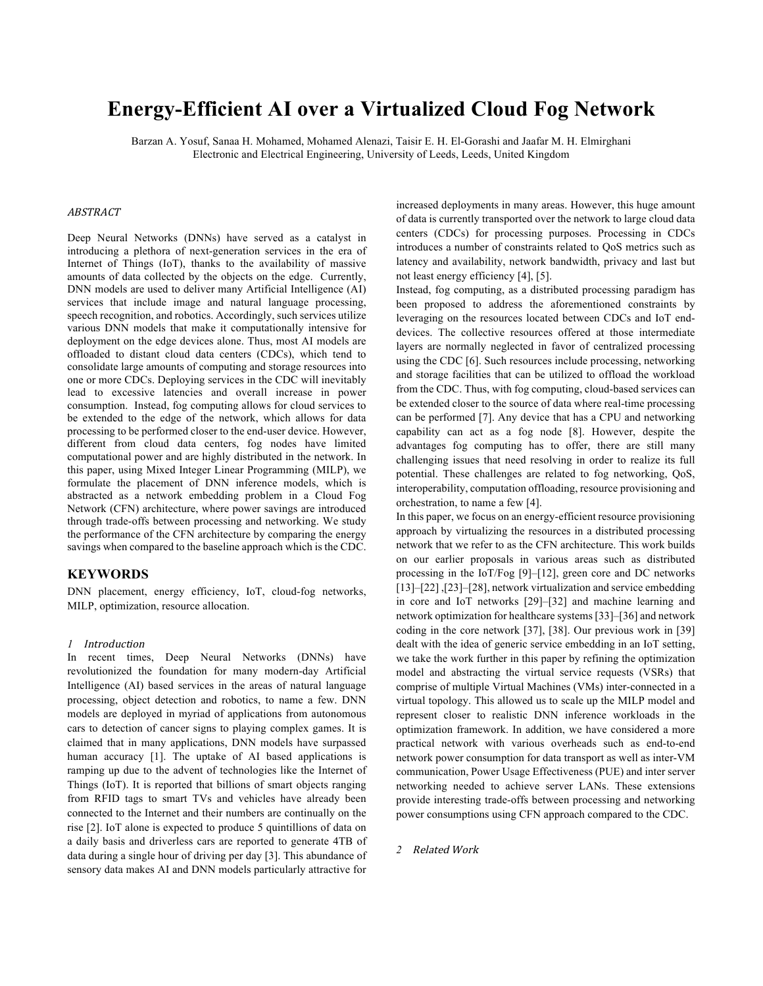# **Energy-Efficient AI over a Virtualized Cloud Fog Network**

Barzan A. Yosuf, Sanaa H. Mohamed, Mohamed Alenazi, Taisir E. H. El-Gorashi and Jaafar M. H. Elmirghani Electronic and Electrical Engineering, University of Leeds, Leeds, United Kingdom

## ABSTRACT

Deep Neural Networks (DNNs) have served as a catalyst in introducing a plethora of next-generation services in the era of Internet of Things (IoT), thanks to the availability of massive amounts of data collected by the objects on the edge. Currently, DNN models are used to deliver many Artificial Intelligence (AI) services that include image and natural language processing, speech recognition, and robotics. Accordingly, such services utilize various DNN models that make it computationally intensive for deployment on the edge devices alone. Thus, most AI models are offloaded to distant cloud data centers (CDCs), which tend to consolidate large amounts of computing and storage resources into one or more CDCs. Deploying services in the CDC will inevitably lead to excessive latencies and overall increase in power consumption. Instead, fog computing allows for cloud services to be extended to the edge of the network, which allows for data processing to be performed closer to the end-user device. However, different from cloud data centers, fog nodes have limited computational power and are highly distributed in the network. In this paper, using Mixed Integer Linear Programming (MILP), we formulate the placement of DNN inference models, which is abstracted as a network embedding problem in a Cloud Fog Network (CFN) architecture, where power savings are introduced through trade-offs between processing and networking. We study the performance of the CFN architecture by comparing the energy savings when compared to the baseline approach which is the CDC.

## **KEYWORDS**

DNN placement, energy efficiency, IoT, cloud-fog networks, MILP, optimization, resource allocation.

### *1* Introduction

In recent times, Deep Neural Networks (DNNs) have revolutionized the foundation for many modern-day Artificial Intelligence (AI) based services in the areas of natural language processing, object detection and robotics, to name a few. DNN models are deployed in myriad of applications from autonomous cars to detection of cancer signs to playing complex games. It is claimed that in many applications, DNN models have surpassed human accuracy [1]. The uptake of AI based applications is ramping up due to the advent of technologies like the Internet of Things (IoT). It is reported that billions of smart objects ranging from RFID tags to smart TVs and vehicles have already been connected to the Internet and their numbers are continually on the rise [2]. IoT alone is expected to produce 5 quintillions of data on a daily basis and driverless cars are reported to generate 4TB of data during a single hour of driving per day [3]. This abundance of sensory data makes AI and DNN models particularly attractive for

increased deployments in many areas. However, this huge amount of data is currently transported over the network to large cloud data centers (CDCs) for processing purposes. Processing in CDCs introduces a number of constraints related to QoS metrics such as latency and availability, network bandwidth, privacy and last but not least energy efficiency [4], [5].

Instead, fog computing, as a distributed processing paradigm has been proposed to address the aforementioned constraints by leveraging on the resources located between CDCs and IoT enddevices. The collective resources offered at those intermediate layers are normally neglected in favor of centralized processing using the CDC [6]. Such resources include processing, networking and storage facilities that can be utilized to offload the workload from the CDC. Thus, with fog computing, cloud-based services can be extended closer to the source of data where real-time processing can be performed [7]. Any device that has a CPU and networking capability can act as a fog node [8]. However, despite the advantages fog computing has to offer, there are still many challenging issues that need resolving in order to realize its full potential. These challenges are related to fog networking, QoS, interoperability, computation offloading, resource provisioning and orchestration, to name a few [4].

In this paper, we focus on an energy-efficient resource provisioning approach by virtualizing the resources in a distributed processing network that we refer to as the CFN architecture. This work builds on our earlier proposals in various areas such as distributed processing in the IoT/Fog [9]–[12], green core and DC networks [13]–[22], [23]–[28], network virtualization and service embedding in core and IoT networks [29]–[32] and machine learning and network optimization for healthcare systems [33]–[36] and network coding in the core network [37], [38]. Our previous work in [39] dealt with the idea of generic service embedding in an IoT setting, we take the work further in this paper by refining the optimization model and abstracting the virtual service requests (VSRs) that comprise of multiple Virtual Machines (VMs) inter-connected in a virtual topology. This allowed us to scale up the MILP model and represent closer to realistic DNN inference workloads in the optimization framework. In addition, we have considered a more practical network with various overheads such as end-to-end network power consumption for data transport as well as inter-VM communication, Power Usage Effectiveness (PUE) and inter server networking needed to achieve server LANs. These extensions provide interesting trade-offs between processing and networking power consumptions using CFN approach compared to the CDC.

## 2 **Related Work**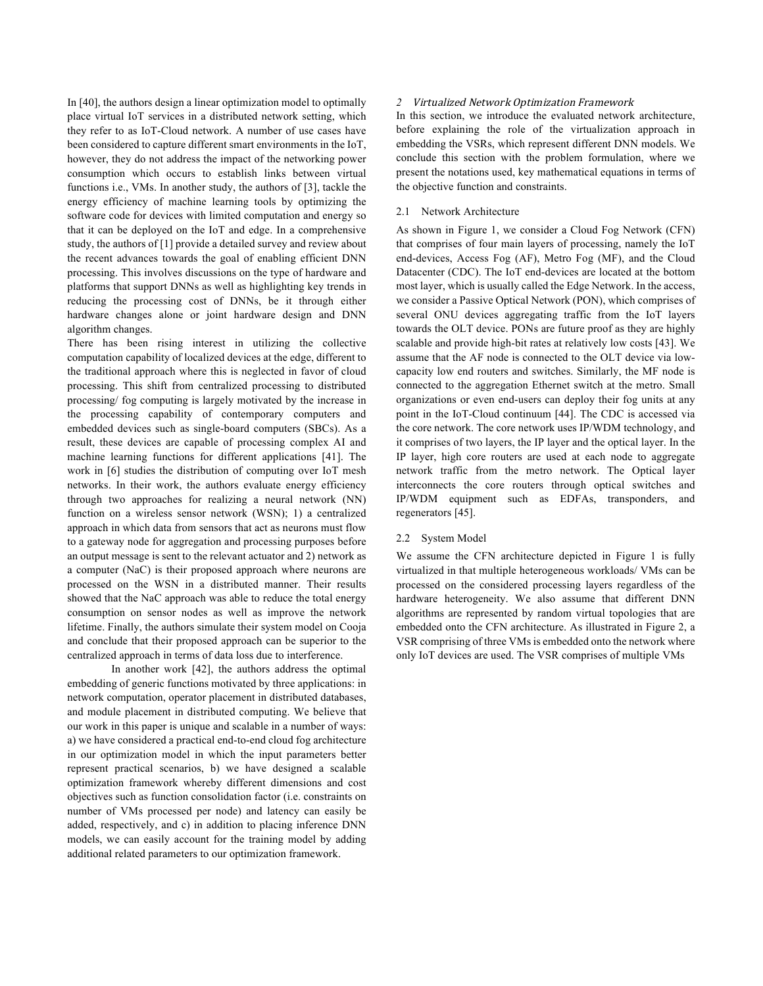In [40], the authors design a linear optimization model to optimally place virtual IoT services in a distributed network setting, which they refer to as IoT-Cloud network. A number of use cases have been considered to capture different smart environments in the IoT, however, they do not address the impact of the networking power consumption which occurs to establish links between virtual functions i.e., VMs. In another study, the authors of [3], tackle the energy efficiency of machine learning tools by optimizing the software code for devices with limited computation and energy so that it can be deployed on the IoT and edge. In a comprehensive study, the authors of [1] provide a detailed survey and review about the recent advances towards the goal of enabling efficient DNN processing. This involves discussions on the type of hardware and platforms that support DNNs as well as highlighting key trends in reducing the processing cost of DNNs, be it through either hardware changes alone or joint hardware design and DNN algorithm changes.

There has been rising interest in utilizing the collective computation capability of localized devices at the edge, different to the traditional approach where this is neglected in favor of cloud processing. This shift from centralized processing to distributed processing/ fog computing is largely motivated by the increase in the processing capability of contemporary computers and embedded devices such as single-board computers (SBCs). As a result, these devices are capable of processing complex AI and machine learning functions for different applications [41]. The work in [6] studies the distribution of computing over IoT mesh networks. In their work, the authors evaluate energy efficiency through two approaches for realizing a neural network (NN) function on a wireless sensor network (WSN); 1) a centralized approach in which data from sensors that act as neurons must flow to a gateway node for aggregation and processing purposes before an output message is sent to the relevant actuator and 2) network as a computer (NaC) is their proposed approach where neurons are processed on the WSN in a distributed manner. Their results showed that the NaC approach was able to reduce the total energy consumption on sensor nodes as well as improve the network lifetime. Finally, the authors simulate their system model on Cooja and conclude that their proposed approach can be superior to the centralized approach in terms of data loss due to interference.

In another work [42], the authors address the optimal embedding of generic functions motivated by three applications: in network computation, operator placement in distributed databases, and module placement in distributed computing. We believe that our work in this paper is unique and scalable in a number of ways: a) we have considered a practical end-to-end cloud fog architecture in our optimization model in which the input parameters better represent practical scenarios, b) we have designed a scalable optimization framework whereby different dimensions and cost objectives such as function consolidation factor (i.e. constraints on number of VMs processed per node) and latency can easily be added, respectively, and c) in addition to placing inference DNN models, we can easily account for the training model by adding additional related parameters to our optimization framework.

## *2* Virtualized Network Optimization Framework

In this section, we introduce the evaluated network architecture, before explaining the role of the virtualization approach in embedding the VSRs, which represent different DNN models. We conclude this section with the problem formulation, where we present the notations used, key mathematical equations in terms of the objective function and constraints.

## 2.1 Network Architecture

As shown in Figure 1, we consider a Cloud Fog Network (CFN) that comprises of four main layers of processing, namely the IoT end-devices, Access Fog (AF), Metro Fog (MF), and the Cloud Datacenter (CDC). The IoT end-devices are located at the bottom most layer, which is usually called the Edge Network. In the access, we consider a Passive Optical Network (PON), which comprises of several ONU devices aggregating traffic from the IoT layers towards the OLT device. PONs are future proof as they are highly scalable and provide high-bit rates at relatively low costs [43]. We assume that the AF node is connected to the OLT device via lowcapacity low end routers and switches. Similarly, the MF node is connected to the aggregation Ethernet switch at the metro. Small organizations or even end-users can deploy their fog units at any point in the IoT-Cloud continuum [44]. The CDC is accessed via the core network. The core network uses IP/WDM technology, and it comprises of two layers, the IP layer and the optical layer. In the IP layer, high core routers are used at each node to aggregate network traffic from the metro network. The Optical layer interconnects the core routers through optical switches and IP/WDM equipment such as EDFAs, transponders, and regenerators [45].

#### 2.2 System Model

We assume the CFN architecture depicted in Figure 1 is fully virtualized in that multiple heterogeneous workloads/ VMs can be processed on the considered processing layers regardless of the hardware heterogeneity. We also assume that different DNN algorithms are represented by random virtual topologies that are embedded onto the CFN architecture. As illustrated in Figure 2, a VSR comprising of three VMs is embedded onto the network where only IoT devices are used. The VSR comprises of multiple VMs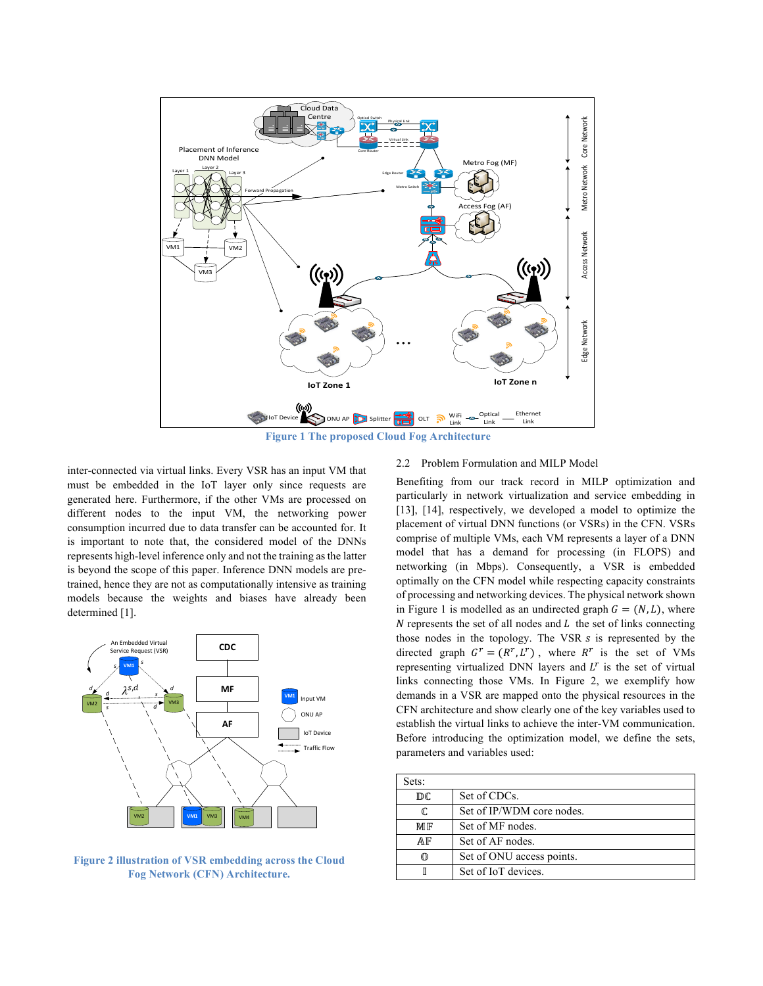

**Figure 1 The proposed Cloud Fog Architecture** 

inter-connected via virtual links. Every VSR has an input VM that must be embedded in the IoT layer only since requests are generated here. Furthermore, if the other VMs are processed on different nodes to the input VM, the networking power consumption incurred due to data transfer can be accounted for. It is important to note that, the considered model of the DNNs represents high-level inference only and not the training as the latter is beyond the scope of this paper. Inference DNN models are pretrained, hence they are not as computationally intensive as training models because the weights and biases have already been determined [1].



**Figure 2 illustration of VSR embedding across the Cloud Fog Network (CFN) Architecture.**

#### 2.2 Problem Formulation and MILP Model

Benefiting from our track record in MILP optimization and particularly in network virtualization and service embedding in [13], [14], respectively, we developed a model to optimize the placement of virtual DNN functions (or VSRs) in the CFN. VSRs comprise of multiple VMs, each VM represents a layer of a DNN model that has a demand for processing (in FLOPS) and networking (in Mbps). Consequently, a VSR is embedded optimally on the CFN model while respecting capacity constraints of processing and networking devices. The physical network shown in Figure 1 is modelled as an undirected graph  $G = (N, L)$ , where  $N$  represents the set of all nodes and  $L$  the set of links connecting those nodes in the topology. The VSR  $s$  is represented by the directed graph  $G^r = (R^r, L^r)$ , where  $R^r$  is the set of VMs representing virtualized DNN layers and  $L<sup>r</sup>$  is the set of virtual links connecting those VMs. In Figure 2, we exemplify how demands in a VSR are mapped onto the physical resources in the CFN architecture and show clearly one of the key variables used to establish the virtual links to achieve the inter-VM communication. Before introducing the optimization model, we define the sets, parameters and variables used:

| Sets: |                           |
|-------|---------------------------|
| DC    | Set of CDCs.              |
| C.    | Set of IP/WDM core nodes. |
| MIF   | Set of MF nodes.          |
| ΑF    | Set of AF nodes.          |
|       | Set of ONU access points. |
|       | Set of IoT devices.       |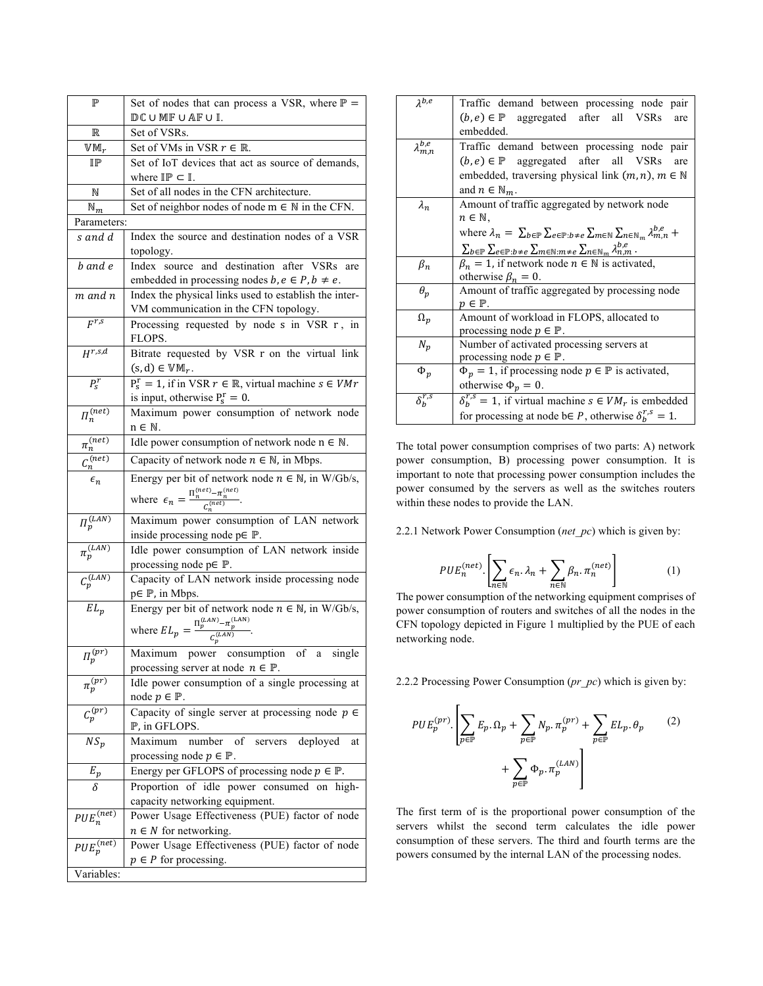| $\mathbb P$                       | Set of nodes that can process a VSR, where $\mathbb{P}$ =                                                     |  |  |  |  |
|-----------------------------------|---------------------------------------------------------------------------------------------------------------|--|--|--|--|
|                                   | $DC$ U MF U AF U I.                                                                                           |  |  |  |  |
| $\mathbb R$                       | Set of VSRs.                                                                                                  |  |  |  |  |
| $W M_r$                           | Set of VMs in VSR $r \in \mathbb{R}$ .                                                                        |  |  |  |  |
| ⅡΡ                                | Set of IoT devices that act as source of demands,                                                             |  |  |  |  |
|                                   | where $\mathbb{IP} \subset \mathbb{I}$ .                                                                      |  |  |  |  |
| N                                 | Set of all nodes in the CFN architecture.                                                                     |  |  |  |  |
| $\mathbb{N}_m$                    | Set of neighbor nodes of node $m \in \mathbb{N}$ in the CFN.                                                  |  |  |  |  |
| Parameters:                       |                                                                                                               |  |  |  |  |
| s and d                           | Index the source and destination nodes of a VSR<br>topology.                                                  |  |  |  |  |
| b and e                           | Index source and destination after VSRs<br>are<br>embedded in processing nodes $b, e \in P, b \neq e$ .       |  |  |  |  |
| m and n                           | Index the physical links used to establish the inter-                                                         |  |  |  |  |
|                                   | VM communication in the CFN topology.                                                                         |  |  |  |  |
| $F^{r,s}$                         | Processing requested by node s in VSR r, in                                                                   |  |  |  |  |
|                                   | FLOPS.                                                                                                        |  |  |  |  |
| $H^{r,s,d}$                       | Bitrate requested by VSR r on the virtual link                                                                |  |  |  |  |
|                                   | $(s, d) \in \mathbb{VM}_r$ .                                                                                  |  |  |  |  |
| $P_{S}^{r}$                       | $P_s^r = 1$ , if in VSR $r \in \mathbb{R}$ , virtual machine $s \in VMr$<br>is input, otherwise $P_s^r = 0$ . |  |  |  |  |
| $\Pi_n^{(net)}$                   | Maximum power consumption of network node                                                                     |  |  |  |  |
|                                   | n ∈ N.                                                                                                        |  |  |  |  |
| $\pi_n^{(net)}$                   | Idle power consumption of network node $n \in \mathbb{N}$ .                                                   |  |  |  |  |
| $\sqrt{\frac{(net)}{n}}$          | Capacity of network node $n \in \mathbb{N}$ , in Mbps.                                                        |  |  |  |  |
| $\epsilon_n$                      | Energy per bit of network node $n \in \mathbb{N}$ , in W/Gb/s,                                                |  |  |  |  |
|                                   | where $\epsilon_n = \frac{\Pi_n^{(net)} - \pi_n^{(net)}}{C_n^{(net)}}$ .                                      |  |  |  |  |
|                                   | Maximum power consumption of LAN network                                                                      |  |  |  |  |
| $\Pi_p^{(L\overline{AN})}$        | inside processing node $p \in \mathbb{P}$ .                                                                   |  |  |  |  |
| $\frac{1}{\pi_p^{(LAN)}}$         | Idle power consumption of LAN network inside                                                                  |  |  |  |  |
|                                   | processing node $p \in \mathbb{P}$ .                                                                          |  |  |  |  |
| $c_p^{\overline{(\mathit{LAN})}}$ | Capacity of LAN network inside processing node                                                                |  |  |  |  |
|                                   | p∈ P, in Mbps.                                                                                                |  |  |  |  |
| $EL_p$                            | Energy per bit of network node $n \in \mathbb{N}$ , in W/Gb/s,                                                |  |  |  |  |
|                                   | where $EL_p = \frac{\Pi_p^{(LAN)} - \pi_p^{(LAN)}}{C_n^{(LAN)}}$                                              |  |  |  |  |
| $\Pi_p^{(pr)}$                    | Maximum power consumption of a single                                                                         |  |  |  |  |
|                                   | processing server at node $n \in \mathbb{P}$ .                                                                |  |  |  |  |
| $\pi_p^{(pr)}$                    | Idle power consumption of a single processing at                                                              |  |  |  |  |
|                                   | node $p \in \mathbb{P}$ .                                                                                     |  |  |  |  |
| $c_p^{(pr)}$                      | Capacity of single server at processing node $p \in$                                                          |  |  |  |  |
|                                   | P, in GFLOPS.                                                                                                 |  |  |  |  |
| $NS_p$                            | number<br>deployed<br>Maximum<br>оf<br>servers<br>at                                                          |  |  |  |  |
|                                   | processing node $p \in \mathbb{P}$ .                                                                          |  |  |  |  |
| $E_p$                             | Energy per GFLOPS of processing node $p \in \mathbb{P}$ .                                                     |  |  |  |  |
| δ                                 | Proportion of idle power consumed on high-                                                                    |  |  |  |  |
|                                   | capacity networking equipment.                                                                                |  |  |  |  |
| $PUE_n^{(net)}$                   | Power Usage Effectiveness (PUE) factor of node                                                                |  |  |  |  |
|                                   | $n \in N$ for networking.                                                                                     |  |  |  |  |
| $PUE_{p}^{\left( net\right) }$    | Power Usage Effectiveness (PUE) factor of node                                                                |  |  |  |  |
|                                   | $p \in P$ for processing.                                                                                     |  |  |  |  |
|                                   |                                                                                                               |  |  |  |  |

| $\lambda^{b,e}$       | Traffic demand between processing node pair                                                                                                        |  |  |  |  |  |  |  |
|-----------------------|----------------------------------------------------------------------------------------------------------------------------------------------------|--|--|--|--|--|--|--|
|                       | $(b, e) \in \mathbb{P}$ aggregated after all VSRs<br>are                                                                                           |  |  |  |  |  |  |  |
|                       | embedded.                                                                                                                                          |  |  |  |  |  |  |  |
| $\lambda_{m,n}^{b,e}$ | Traffic demand between processing node pair                                                                                                        |  |  |  |  |  |  |  |
|                       | $(b, e) \in \mathbb{P}$ aggregated after all VSRs<br>are                                                                                           |  |  |  |  |  |  |  |
|                       | embedded, traversing physical link $(m, n)$ , $m \in \mathbb{N}$                                                                                   |  |  |  |  |  |  |  |
|                       | and $n \in \mathbb{N}_m$ .                                                                                                                         |  |  |  |  |  |  |  |
| $\lambda_n$           | Amount of traffic aggregated by network node                                                                                                       |  |  |  |  |  |  |  |
|                       | $n \in \mathbb{N}$ ,                                                                                                                               |  |  |  |  |  |  |  |
|                       | where $\lambda_n = \sum_{b \in \mathbb{P}} \sum_{e \in \mathbb{P}:b \neq e} \sum_{m \in \mathbb{N}} \sum_{n \in \mathbb{N}_m} \lambda_{m,n}^{b,e}$ |  |  |  |  |  |  |  |
|                       | $\sum_{b \in \mathbb{P}} \sum_{e \in \mathbb{P}: b \neq e} \sum_{m \in \mathbb{N}: m \neq e} \sum_{n \in \mathbb{N}_m} \lambda_{n,m}^{b,e}$ .      |  |  |  |  |  |  |  |
| $\beta_n$             | $\beta_n = 1$ , if network node $n \in \mathbb{N}$ is activated,                                                                                   |  |  |  |  |  |  |  |
|                       | otherwise $\beta_n = 0$ .                                                                                                                          |  |  |  |  |  |  |  |
| $\theta_p$            | Amount of traffic aggregated by processing node                                                                                                    |  |  |  |  |  |  |  |
|                       | $p \in \mathbb{P}$ .                                                                                                                               |  |  |  |  |  |  |  |
| $\Omega_p$            | Amount of workload in FLOPS, allocated to                                                                                                          |  |  |  |  |  |  |  |
|                       | processing node $p \in \mathbb{P}$ .                                                                                                               |  |  |  |  |  |  |  |
| $N_p$                 | Number of activated processing servers at                                                                                                          |  |  |  |  |  |  |  |
|                       | processing node $p \in \mathbb{P}$ .                                                                                                               |  |  |  |  |  |  |  |
| $\Phi_p$              | $\Phi_p = 1$ , if processing node $p \in \mathbb{P}$ is activated,                                                                                 |  |  |  |  |  |  |  |
|                       | otherwise $\Phi_p = 0$ .                                                                                                                           |  |  |  |  |  |  |  |
| $\delta_h^{r,s}$      | $\delta_h^{r,s} = 1$ , if virtual machine $s \in VM_r$ is embedded                                                                                 |  |  |  |  |  |  |  |
|                       | for processing at node b∈ P, otherwise $\delta_h^{r,s} = 1$ .                                                                                      |  |  |  |  |  |  |  |

The total power consumption comprises of two parts: A) network power consumption, B) processing power consumption. It is important to note that processing power consumption includes the power consumed by the servers as well as the switches routers within these nodes to provide the LAN.

2.2.1 Network Power Consumption (*net\_pc*) which is given by:

$$
PUE_n^{(net)} \cdot \left[ \sum_{n \in \mathbb{N}} \epsilon_n \cdot \lambda_n + \sum_{n \in \mathbb{N}} \beta_n \cdot \pi_n^{(net)} \right] \tag{1}
$$

The power consumption of the networking equipment comprises of power consumption of routers and switches of all the nodes in the CFN topology depicted in Figure 1 multiplied by the PUE of each networking node.

2.2.2 Processing Power Consumption (*pr\_pc*) which is given by:

$$
PUE_p^{(pr)} \cdot \left[ \sum_{p \in \mathbb{P}} E_p \cdot \Omega_p + \sum_{p \in \mathbb{P}} N_p \cdot \pi_p^{(pr)} + \sum_{p \in \mathbb{P}} EL_p \cdot \theta_p \right] \tag{2}
$$
\n
$$
+ \sum_{p \in \mathbb{P}} \Phi_p \cdot \pi_p^{(LAN)} \right]
$$

The first term of is the proportional power consumption of the servers whilst the second term calculates the idle power consumption of these servers. The third and fourth terms are the powers consumed by the internal LAN of the processing nodes.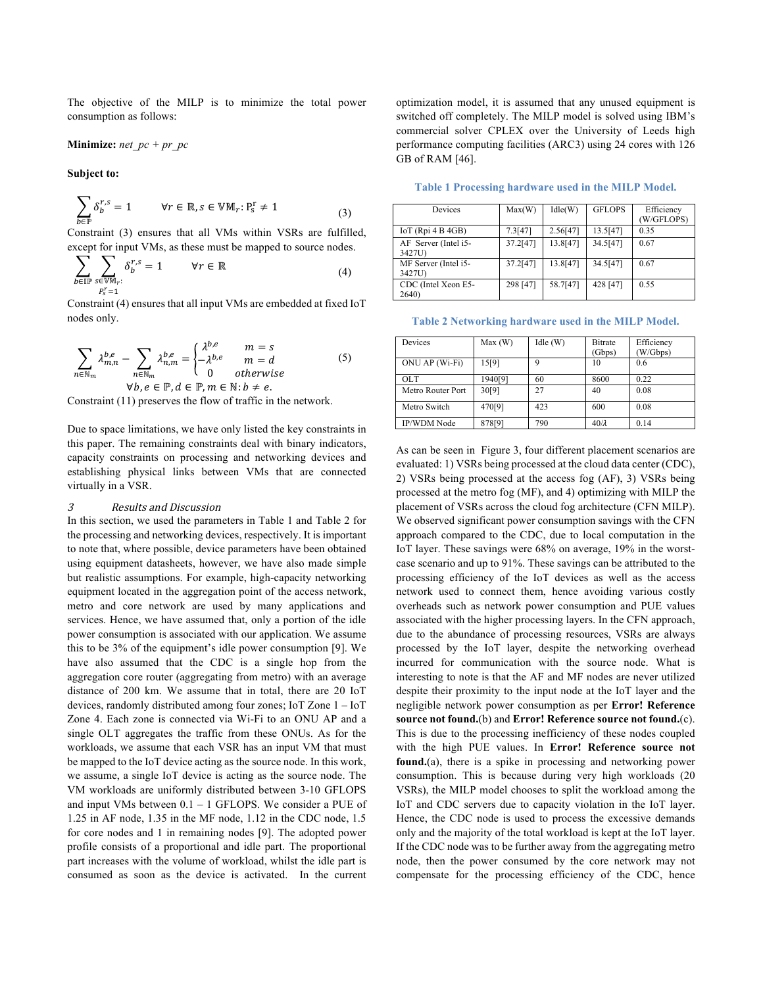The objective of the MILP is to minimize the total power consumption as follows:

Minimize: 
$$
net\_pc + pr\_pc
$$

**Subject to:** 

$$
\sum_{b \in \mathbb{P}} \delta_b^{r,s} = 1 \qquad \forall r \in \mathbb{R}, s \in \mathbb{V}\mathbb{M}_r : P_s^r \neq 1 \tag{3}
$$

Constraint (3) ensures that all VMs within VSRs are fulfilled, except for input VMs, as these must be mapped to source nodes.

$$
\sum_{b \in \mathbb{IP}} \sum_{\substack{s \in \mathbb{V} \mathbb{M}_r:\\P_s^r = 1}} \delta_b^{r,s} = 1 \qquad \forall r \in \mathbb{R} \tag{4}
$$

Constraint (4) ensures that all input VMs are embedded at fixed IoT nodes only.

$$
\sum_{n \in \mathbb{N}_m} \lambda_{m,n}^{b,e} - \sum_{n \in \mathbb{N}_m} \lambda_{n,m}^{b,e} = \begin{cases} \lambda^{b,e} & m = s \\ -\lambda^{b,e} & m = d \\ 0 & otherwise \end{cases}
$$
 (5)  
\n
$$
\forall b, e \in \mathbb{P}, d \in \mathbb{P}, m \in \mathbb{N}: b \neq e.
$$

Constraint (11) preserves the flow of traffic in the network.

Due to space limitations, we have only listed the key constraints in this paper. The remaining constraints deal with binary indicators, capacity constraints on processing and networking devices and establishing physical links between VMs that are connected virtually in a VSR.

## 3 Results and Discussion

In this section, we used the parameters in Table 1 and Table 2 for the processing and networking devices, respectively. It is important to note that, where possible, device parameters have been obtained using equipment datasheets, however, we have also made simple but realistic assumptions. For example, high-capacity networking equipment located in the aggregation point of the access network, metro and core network are used by many applications and services. Hence, we have assumed that, only a portion of the idle power consumption is associated with our application. We assume this to be 3% of the equipment's idle power consumption [9]. We have also assumed that the CDC is a single hop from the aggregation core router (aggregating from metro) with an average distance of 200 km. We assume that in total, there are 20 IoT devices, randomly distributed among four zones; IoT Zone 1 – IoT Zone 4. Each zone is connected via Wi-Fi to an ONU AP and a single OLT aggregates the traffic from these ONUs. As for the workloads, we assume that each VSR has an input VM that must be mapped to the IoT device acting as the source node. In this work, we assume, a single IoT device is acting as the source node. The VM workloads are uniformly distributed between 3-10 GFLOPS and input VMs between 0.1 – 1 GFLOPS. We consider a PUE of 1.25 in AF node, 1.35 in the MF node, 1.12 in the CDC node, 1.5 for core nodes and 1 in remaining nodes [9]. The adopted power profile consists of a proportional and idle part. The proportional part increases with the volume of workload, whilst the idle part is consumed as soon as the device is activated. In the current

optimization model, it is assumed that any unused equipment is switched off completely. The MILP model is solved using IBM's commercial solver CPLEX over the University of Leeds high performance computing facilities (ARC3) using 24 cores with 126 GB of RAM [46].

**Table 1 Processing hardware used in the MILP Model.**

| Devices                        | Max(W)   | Idle(W)  | <b>GFLOPS</b> | Efficiency<br>(W/GFLOPS) |
|--------------------------------|----------|----------|---------------|--------------------------|
| IoT $(Rpi 4B 4GB)$             | 7.3[47]  | 2.56[47] | 13.5[47]      | 0.35                     |
| AF Server (Intel i5-<br>3427U) | 37.2[47] | 13.8[47] | 34.5[47]      | 0.67                     |
| MF Server (Intel i5-<br>3427U) | 37.2[47] | 13.8[47] | 34.5[47]      | 0.67                     |
| CDC (Intel Xeon E5-<br>2640)   | 298 [47] | 58.7[47] | 428 [47]      | 0.55                     |

**Table 2 Networking hardware used in the MILP Model.**

| Devices            | Max(W)  | Idle(W) | <b>Bitrate</b> | Efficiency |
|--------------------|---------|---------|----------------|------------|
|                    |         |         | (Gbps)         | (W/Gbps)   |
| ONU AP (Wi-Fi)     | 15[9]   | 9       | 10             | 0.6        |
| OLT.               | 1940[9] | 60      | 8600           | 0.22       |
| Metro Router Port  | 30[9]   | 27      | 40             | 0.08       |
| Metro Switch       | 470[9]  | 423     | 600            | 0.08       |
| <b>IP/WDM Node</b> | 878[9]  | 790     | $40/\lambda$   | 0.14       |

As can be seen in Figure 3, four different placement scenarios are evaluated: 1) VSRs being processed at the cloud data center (CDC), 2) VSRs being processed at the access fog (AF), 3) VSRs being processed at the metro fog (MF), and 4) optimizing with MILP the placement of VSRs across the cloud fog architecture (CFN MILP). We observed significant power consumption savings with the CFN approach compared to the CDC, due to local computation in the IoT layer. These savings were 68% on average, 19% in the worstcase scenario and up to 91%. These savings can be attributed to the processing efficiency of the IoT devices as well as the access network used to connect them, hence avoiding various costly overheads such as network power consumption and PUE values associated with the higher processing layers. In the CFN approach, due to the abundance of processing resources, VSRs are always processed by the IoT layer, despite the networking overhead incurred for communication with the source node. What is interesting to note is that the AF and MF nodes are never utilized despite their proximity to the input node at the IoT layer and the negligible network power consumption as per **Error! Reference source not found.**(b) and **Error! Reference source not found.**(c). This is due to the processing inefficiency of these nodes coupled with the high PUE values. In **Error! Reference source not found.**(a), there is a spike in processing and networking power consumption. This is because during very high workloads (20 VSRs), the MILP model chooses to split the workload among the IoT and CDC servers due to capacity violation in the IoT layer. Hence, the CDC node is used to process the excessive demands only and the majority of the total workload is kept at the IoT layer. If the CDC node was to be further away from the aggregating metro node, then the power consumed by the core network may not compensate for the processing efficiency of the CDC, hence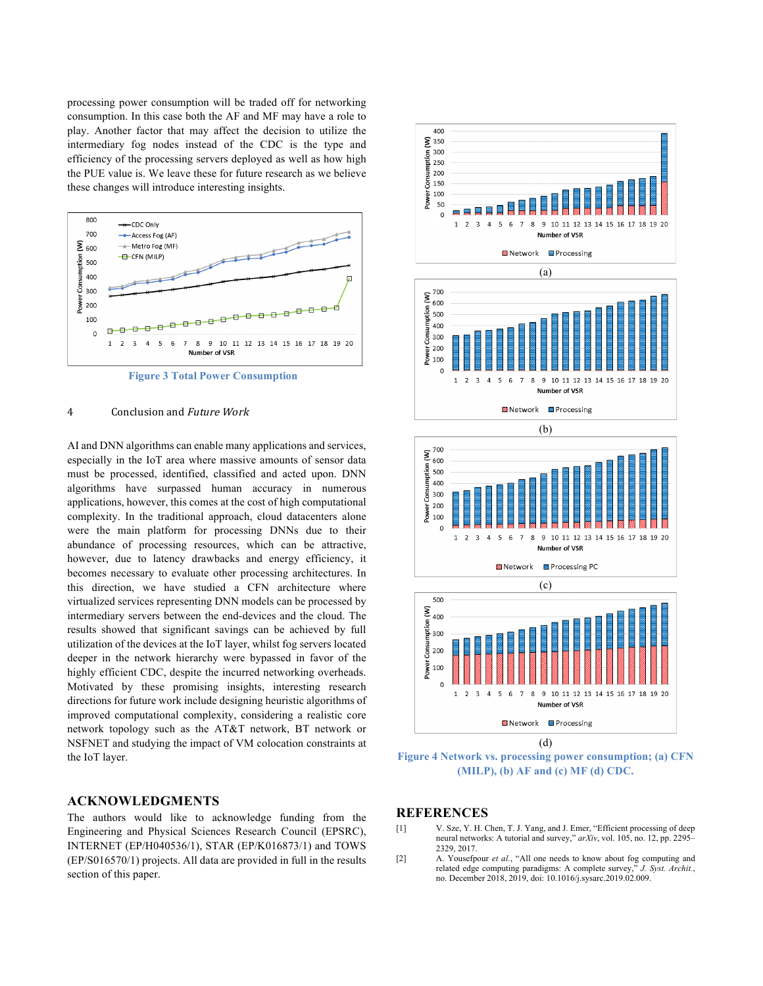processing power consumption will be traded off for networking consumption. In this case both the AF and MF may have a role to play. Another factor that may affect the decision to utilize the intermediary fog nodes instead of the CDC is the type and efficiency of the processing servers deployed as well as how high the PUE value is. We leave these for future research as we believe these changes will introduce interesting insights.



**Figure 3 Total Power Consumption**

#### 4 Conclusion and Future Work

AI and DNN algorithms can enable many applications and services, especially in the IoT area where massive amounts of sensor data must be processed, identified, classified and acted upon. DNN algorithms have surpassed human accuracy in numerous applications, however, this comes at the cost of high computational complexity. In the traditional approach, cloud datacenters alone were the main platform for processing DNNs due to their abundance of processing resources, which can be attractive, however, due to latency drawbacks and energy efficiency, it becomes necessary to evaluate other processing architectures. In this direction, we have studied a CFN architecture where virtualized services representing DNN models can be processed by intermediary servers between the end-devices and the cloud. The results showed that significant savings can be achieved by full utilization of the devices at the IoT layer, whilst fog servers located deeper in the network hierarchy were bypassed in favor of the highly efficient CDC, despite the incurred networking overheads. Motivated by these promising insights, interesting research directions for future work include designing heuristic algorithms of improved computational complexity, considering a realistic core network topology such as the AT&T network, BT network or NSFNET and studying the impact of VM colocation constraints at the IoT layer.

## **ACKNOWLEDGMENTS**

The authors would like to acknowledge funding from the Engineering and Physical Sciences Research Council (EPSRC), INTERNET (EP/H040536/1), STAR (EP/K016873/1) and TOWS (EP/S016570/1) projects. All data are provided in full in the results section of this paper.



**Figure 4 Network vs. processing power consumption; (a) CFN (MILP), (b) AF and (c) MF (d) CDC.**

## **REFERENCES**

- [1] V. Sze, Y. H. Chen, T. J. Yang, and J. Emer, "Efficient processing of deep neural networks: A tutorial and survey," *arXiv*, vol. 105, no. 12, pp. 2295– 2329, 2017.
- [2] A. Yousefpour *et al.*, "All one needs to know about fog computing and related edge computing paradigms: A complete survey," *J. Syst. Archit.*, no. December 2018, 2019, doi: 10.1016/j.sysarc.2019.02.009.